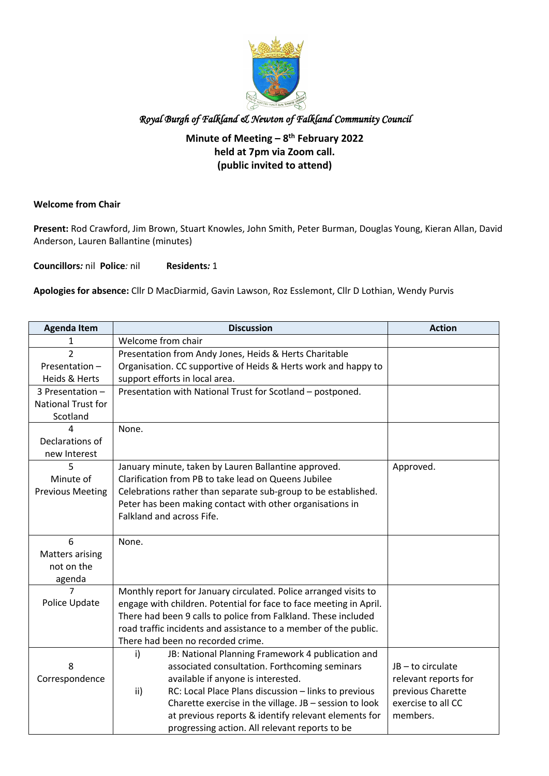

#### **Minute of Meeting – 8th February 2022 held at 7pm via Zoom call. (public invited to attend)**

#### **Welcome from Chair**

**Present:** Rod Crawford, Jim Brown, Stuart Knowles, John Smith, Peter Burman, Douglas Young, Kieran Allan, David Anderson, Lauren Ballantine (minutes)

**Councillors***:* nil **Police***:* nil **Residents***:* 1

**Apologies for absence:** Cllr D MacDiarmid, Gavin Lawson, Roz Esslemont, Cllr D Lothian, Wendy Purvis

| <b>Agenda Item</b>        | <b>Discussion</b>                                                  | <b>Action</b>        |  |  |  |
|---------------------------|--------------------------------------------------------------------|----------------------|--|--|--|
| 1                         | Welcome from chair                                                 |                      |  |  |  |
| 2                         | Presentation from Andy Jones, Heids & Herts Charitable             |                      |  |  |  |
| Presentation-             | Organisation. CC supportive of Heids & Herts work and happy to     |                      |  |  |  |
| Heids & Herts             | support efforts in local area.                                     |                      |  |  |  |
| 3 Presentation -          | Presentation with National Trust for Scotland - postponed.         |                      |  |  |  |
| <b>National Trust for</b> |                                                                    |                      |  |  |  |
| Scotland                  |                                                                    |                      |  |  |  |
|                           | None.                                                              |                      |  |  |  |
| Declarations of           |                                                                    |                      |  |  |  |
| new Interest              |                                                                    |                      |  |  |  |
| 5                         | January minute, taken by Lauren Ballantine approved.               | Approved.            |  |  |  |
| Minute of                 | Clarification from PB to take lead on Queens Jubilee               |                      |  |  |  |
| <b>Previous Meeting</b>   | Celebrations rather than separate sub-group to be established.     |                      |  |  |  |
|                           | Peter has been making contact with other organisations in          |                      |  |  |  |
|                           | Falkland and across Fife.                                          |                      |  |  |  |
|                           |                                                                    |                      |  |  |  |
| 6                         | None.                                                              |                      |  |  |  |
| <b>Matters arising</b>    |                                                                    |                      |  |  |  |
| not on the                |                                                                    |                      |  |  |  |
| agenda                    |                                                                    |                      |  |  |  |
| 7                         | Monthly report for January circulated. Police arranged visits to   |                      |  |  |  |
| Police Update             | engage with children. Potential for face to face meeting in April. |                      |  |  |  |
|                           | There had been 9 calls to police from Falkland. These included     |                      |  |  |  |
|                           | road traffic incidents and assistance to a member of the public.   |                      |  |  |  |
|                           | There had been no recorded crime.                                  |                      |  |  |  |
|                           | JB: National Planning Framework 4 publication and<br>i)            |                      |  |  |  |
| 8                         | associated consultation. Forthcoming seminars                      | JB-to circulate      |  |  |  |
| Correspondence            | available if anyone is interested.                                 | relevant reports for |  |  |  |
|                           | RC: Local Place Plans discussion - links to previous<br>ii)        | previous Charette    |  |  |  |
|                           | Charette exercise in the village. JB - session to look             | exercise to all CC   |  |  |  |
|                           | at previous reports & identify relevant elements for               | members.             |  |  |  |
|                           | progressing action. All relevant reports to be                     |                      |  |  |  |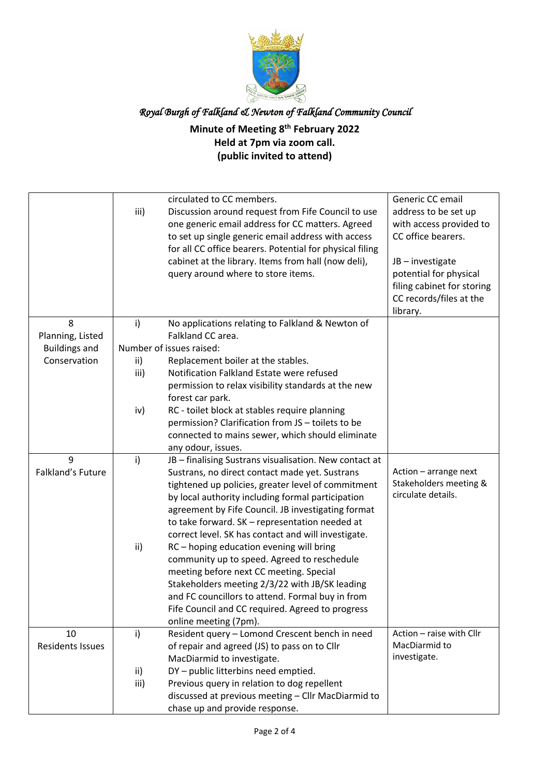

### **Minute of Meeting 8th February 2022 Held at 7pm via zoom call. (public invited to attend)**

|                         |      | circulated to CC members.                                                               | Generic CC email                             |
|-------------------------|------|-----------------------------------------------------------------------------------------|----------------------------------------------|
|                         | iii) | Discussion around request from Fife Council to use                                      | address to be set up                         |
|                         |      | one generic email address for CC matters. Agreed                                        | with access provided to                      |
|                         |      | to set up single generic email address with access                                      | CC office bearers.                           |
|                         |      | for all CC office bearers. Potential for physical filing                                |                                              |
|                         |      | cabinet at the library. Items from hall (now deli),                                     | JB-investigate                               |
|                         |      | query around where to store items.                                                      | potential for physical                       |
|                         |      |                                                                                         | filing cabinet for storing                   |
|                         |      |                                                                                         | CC records/files at the                      |
|                         |      |                                                                                         | library.                                     |
| 8                       | i)   | No applications relating to Falkland & Newton of                                        |                                              |
| Planning, Listed        |      | Falkland CC area.                                                                       |                                              |
| <b>Buildings and</b>    |      | Number of issues raised:                                                                |                                              |
| Conservation            | ii)  | Replacement boiler at the stables.                                                      |                                              |
|                         | iii) | Notification Falkland Estate were refused                                               |                                              |
|                         |      | permission to relax visibility standards at the new                                     |                                              |
|                         |      | forest car park.                                                                        |                                              |
|                         | iv)  | RC - toilet block at stables require planning                                           |                                              |
|                         |      | permission? Clarification from JS - toilets to be                                       |                                              |
|                         |      | connected to mains sewer, which should eliminate                                        |                                              |
|                         |      | any odour, issues.                                                                      |                                              |
| 9                       | i)   | JB - finalising Sustrans visualisation. New contact at                                  |                                              |
| Falkland's Future       |      | Sustrans, no direct contact made yet. Sustrans                                          | Action - arrange next                        |
|                         |      | tightened up policies, greater level of commitment                                      | Stakeholders meeting &<br>circulate details. |
|                         |      | by local authority including formal participation                                       |                                              |
|                         |      | agreement by Fife Council. JB investigating format                                      |                                              |
|                         |      | to take forward. SK - representation needed at                                          |                                              |
|                         |      | correct level. SK has contact and will investigate.                                     |                                              |
|                         | ii)  | RC - hoping education evening will bring<br>community up to speed. Agreed to reschedule |                                              |
|                         |      | meeting before next CC meeting. Special                                                 |                                              |
|                         |      | Stakeholders meeting 2/3/22 with JB/SK leading                                          |                                              |
|                         |      | and FC councillors to attend. Formal buy in from                                        |                                              |
|                         |      | Fife Council and CC required. Agreed to progress                                        |                                              |
|                         |      | online meeting (7pm).                                                                   |                                              |
| 10                      | i)   | Resident query - Lomond Crescent bench in need                                          | Action - raise with Cllr                     |
| <b>Residents Issues</b> |      | of repair and agreed (JS) to pass on to Cllr                                            | MacDiarmid to                                |
|                         |      | MacDiarmid to investigate.                                                              | investigate.                                 |
|                         | ii)  | DY-public litterbins need emptied.                                                      |                                              |
|                         | iii) | Previous query in relation to dog repellent                                             |                                              |
|                         |      | discussed at previous meeting - Cllr MacDiarmid to                                      |                                              |
|                         |      | chase up and provide response.                                                          |                                              |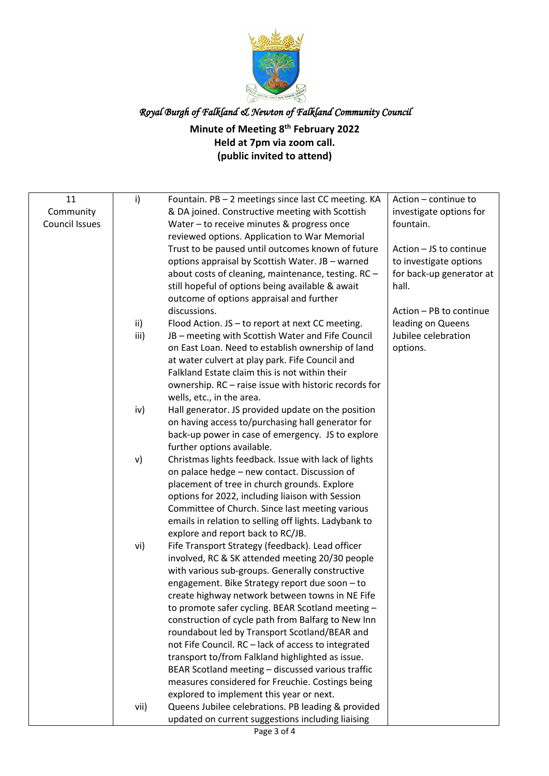

### **Minute of Meeting 8th February 2022 Held at 7pm via zoom call. (public invited to attend)**

| 11                    | i)   | Fountain. PB - 2 meetings since last CC meeting. KA   | Action - continue to     |
|-----------------------|------|-------------------------------------------------------|--------------------------|
| Community             |      | & DA joined. Constructive meeting with Scottish       | investigate options for  |
| <b>Council Issues</b> |      | Water - to receive minutes & progress once            | fountain.                |
|                       |      | reviewed options. Application to War Memorial         |                          |
|                       |      | Trust to be paused until outcomes known of future     | Action - JS to continue  |
|                       |      | options appraisal by Scottish Water. JB - warned      | to investigate options   |
|                       |      | about costs of cleaning, maintenance, testing. RC -   | for back-up generator at |
|                       |      | still hopeful of options being available & await      | hall.                    |
|                       |      | outcome of options appraisal and further              |                          |
|                       |      | discussions.                                          | Action - PB to continue  |
|                       | ii)  | Flood Action. JS - to report at next CC meeting.      | leading on Queens        |
|                       | iii) | JB - meeting with Scottish Water and Fife Council     | Jubilee celebration      |
|                       |      | on East Loan. Need to establish ownership of land     | options.                 |
|                       |      | at water culvert at play park. Fife Council and       |                          |
|                       |      | Falkland Estate claim this is not within their        |                          |
|                       |      | ownership. RC - raise issue with historic records for |                          |
|                       |      | wells, etc., in the area.                             |                          |
|                       | iv)  | Hall generator. JS provided update on the position    |                          |
|                       |      | on having access to/purchasing hall generator for     |                          |
|                       |      | back-up power in case of emergency. JS to explore     |                          |
|                       |      | further options available.                            |                          |
|                       |      |                                                       |                          |
|                       | v)   | Christmas lights feedback. Issue with lack of lights  |                          |
|                       |      | on palace hedge - new contact. Discussion of          |                          |
|                       |      | placement of tree in church grounds. Explore          |                          |
|                       |      | options for 2022, including liaison with Session      |                          |
|                       |      | Committee of Church. Since last meeting various       |                          |
|                       |      | emails in relation to selling off lights. Ladybank to |                          |
|                       |      | explore and report back to RC/JB.                     |                          |
|                       | vi)  | Fife Transport Strategy (feedback). Lead officer      |                          |
|                       |      | involved, RC & SK attended meeting 20/30 people       |                          |
|                       |      | with various sub-groups. Generally constructive       |                          |
|                       |      | engagement. Bike Strategy report due soon - to        |                          |
|                       |      | create highway network between towns in NE Fife       |                          |
|                       |      | to promote safer cycling. BEAR Scotland meeting -     |                          |
|                       |      | construction of cycle path from Balfarg to New Inn    |                          |
|                       |      | roundabout led by Transport Scotland/BEAR and         |                          |
|                       |      | not Fife Council. RC - lack of access to integrated   |                          |
|                       |      | transport to/from Falkland highlighted as issue.      |                          |
|                       |      | BEAR Scotland meeting - discussed various traffic     |                          |
|                       |      | measures considered for Freuchie. Costings being      |                          |
|                       |      | explored to implement this year or next.              |                          |
|                       | vii) | Queens Jubilee celebrations. PB leading & provided    |                          |
|                       |      | updated on current suggestions including liaising     |                          |